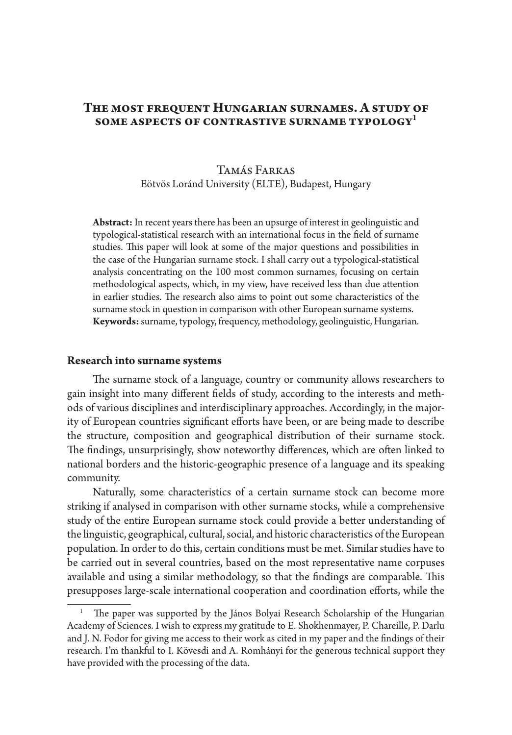## THE MOST FREQUENT HUNGARIAN SURNAMES. A STUDY OF **some aspects of contrastive surname typology1**

## Tamás Farkas Eötvös Loránd University (ELTE), Budapest, Hungary

**Abstract:** In recent years there has been an upsurge of interest in geolinguistic and typological-statistical research with an international focus in the field of surname studies. This paper will look at some of the major questions and possibilities in the case of the Hungarian surname stock. I shall carry out a typological-statistical analysis concentrating on the 100 most common surnames, focusing on certain methodological aspects, which, in my view, have received less than due attention in earlier studies. The research also aims to point out some characteristics of the surname stock in question in comparison with other European surname systems. **Keywords:** surname, typology, frequency, methodology, geolinguistic, Hungarian.

#### **Research into surname systems**

The surname stock of a language, country or community allows researchers to gain insight into many different fields of study, according to the interests and methods of various disciplines and interdisciplinary approaches. Accordingly, in the majority of European countries significant efforts have been, or are being made to describe the structure, composition and geographical distribution of their surname stock. The findings, unsurprisingly, show noteworthy differences, which are often linked to national borders and the historic-geographic presence of a language and its speaking community.

Naturally, some characteristics of a certain surname stock can become more striking if analysed in comparison with other surname stocks, while a comprehensive study of the entire European surname stock could provide a better understanding of the linguistic, geographical, cultural, social, and historic characteristics of the European population. In order to do this, certain conditions must be met. Similar studies have to be carried out in several countries, based on the most representative name corpuses available and using a similar methodology, so that the findings are comparable. This presupposes large-scale international cooperation and coordination efforts, while the

The paper was supported by the János Bolyai Research Scholarship of the Hungarian Academy of Sciences. I wish to express my gratitude to E. Shokhenmayer, P. Chareille, P. Darlu and J. N. Fodor for giving me access to their work as cited in my paper and the findings of their research. I'm thankful to I. Kövesdi and A. Romhányi for the generous technical support they have provided with the processing of the data.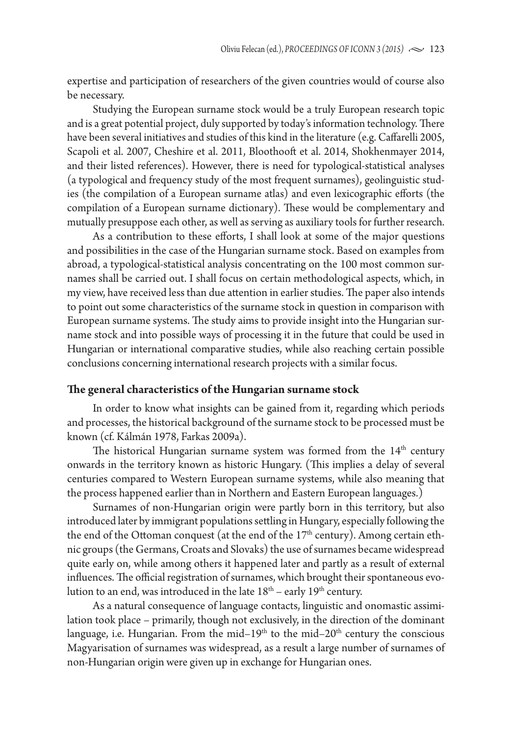expertise and participation of researchers of the given countries would of course also be necessary.

Studying the European surname stock would be a truly European research topic and is a great potential project, duly supported by today's information technology. There have been several initiatives and studies of this kind in the literature (e.g. Caffarelli 2005, Scapoli et al. 2007, Cheshire et al. 2011, Bloothooft et al. 2014, Shokhenmayer 2014, and their listed references). However, there is need for typological-statistical analyses (a typological and frequency study of the most frequent surnames), geolinguistic studies (the compilation of a European surname atlas) and even lexicographic efforts (the compilation of a European surname dictionary). These would be complementary and mutually presuppose each other, as well as serving as auxiliary tools for further research.

As a contribution to these efforts, I shall look at some of the major questions and possibilities in the case of the Hungarian surname stock. Based on examples from abroad, a typological-statistical analysis concentrating on the 100 most common surnames shall be carried out. I shall focus on certain methodological aspects, which, in my view, have received less than due attention in earlier studies. The paper also intends to point out some characteristics of the surname stock in question in comparison with European surname systems. The study aims to provide insight into the Hungarian surname stock and into possible ways of processing it in the future that could be used in Hungarian or international comparative studies, while also reaching certain possible conclusions concerning international research projects with a similar focus.

#### **The general characteristics of the Hungarian surname stock**

In order to know what insights can be gained from it, regarding which periods and processes, the historical background of the surname stock to be processed must be known (cf. Kálmán 1978, Farkas 2009a).

The historical Hungarian surname system was formed from the  $14<sup>th</sup>$  century onwards in the territory known as historic Hungary. (This implies a delay of several centuries compared to Western European surname systems, while also meaning that the process happened earlier than in Northern and Eastern European languages.)

Surnames of non-Hungarian origin were partly born in this territory, but also introduced later by immigrant populations settling in Hungary, especially following the the end of the Ottoman conquest (at the end of the 17<sup>th</sup> century). Among certain ethnic groups (the Germans, Croats and Slovaks) the use of surnames became widespread quite early on, while among others it happened later and partly as a result of external influences. The official registration of surnames, which brought their spontaneous evolution to an end, was introduced in the late  $18<sup>th</sup>$  – early  $19<sup>th</sup>$  century.

As a natural consequence of language contacts, linguistic and onomastic assimilation took place – primarily, though not exclusively, in the direction of the dominant language, i.e. Hungarian. From the mid–19<sup>th</sup> to the mid–20<sup>th</sup> century the conscious Magyarisation of surnames was widespread, as a result a large number of surnames of non-Hungarian origin were given up in exchange for Hungarian ones.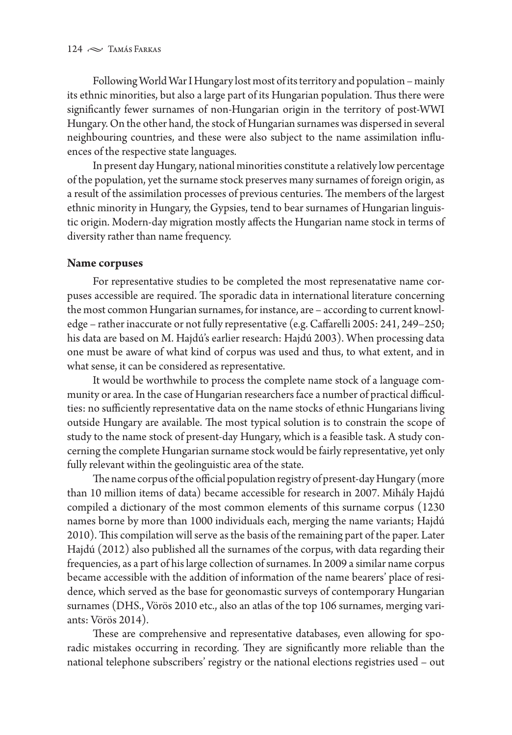Following World War I Hungary lost most of its territory and population – mainly its ethnic minorities, but also a large part of its Hungarian population. Thus there were significantly fewer surnames of non-Hungarian origin in the territory of post-WWI Hungary. On the other hand, the stock of Hungarian surnames was dispersed in several neighbouring countries, and these were also subject to the name assimilation influences of the respective state languages.

In present day Hungary, national minorities constitute a relatively low percentage of the population, yet the surname stock preserves many surnames of foreign origin, as a result of the assimilation processes of previous centuries. The members of the largest ethnic minority in Hungary, the Gypsies, tend to bear surnames of Hungarian linguistic origin. Modern-day migration mostly affects the Hungarian name stock in terms of diversity rather than name frequency.

### **Name corpuses**

For representative studies to be completed the most represenatative name corpuses accessible are required. The sporadic data in international literature concerning the most common Hungarian surnames, for instance, are – according to current knowledge – rather inaccurate or not fully representative (e.g. Caffarelli 2005: 241, 249–250; his data are based on M. Hajdú's earlier research: Hajdú 2003). When processing data one must be aware of what kind of corpus was used and thus, to what extent, and in what sense, it can be considered as representative.

It would be worthwhile to process the complete name stock of a language community or area. In the case of Hungarian researchers face a number of practical difficulties: no sufficiently representative data on the name stocks of ethnic Hungarians living outside Hungary are available. The most typical solution is to constrain the scope of study to the name stock of present-day Hungary, which is a feasible task. A study concerning the complete Hungarian surname stock would be fairly representative, yet only fully relevant within the geolinguistic area of the state.

The name corpus of the official population registry of present-day Hungary (more than 10 million items of data) became accessible for research in 2007. Mihály Hajdú compiled a dictionary of the most common elements of this surname corpus (1230 names borne by more than 1000 individuals each, merging the name variants; Hajdú 2010). This compilation will serve as the basis of the remaining part of the paper. Later Hajdú (2012) also published all the surnames of the corpus, with data regarding their frequencies, as a part of his large collection of surnames. In 2009 a similar name corpus became accessible with the addition of information of the name bearers' place of residence, which served as the base for geonomastic surveys of contemporary Hungarian surnames (DHS., Vörös 2010 etc., also an atlas of the top 106 surnames, merging variants: Vörös 2014).

These are comprehensive and representative databases, even allowing for sporadic mistakes occurring in recording. They are significantly more reliable than the national telephone subscribers' registry or the national elections registries used – out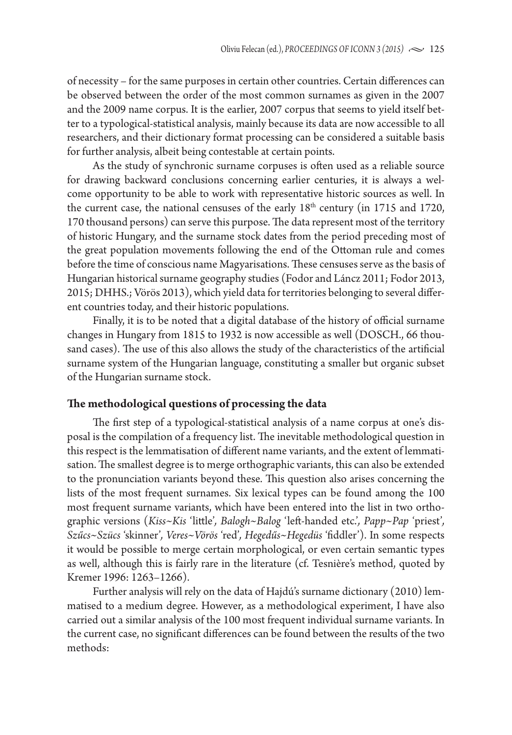of necessity – for the same purposes in certain other countries. Certain differences can be observed between the order of the most common surnames as given in the 2007 and the 2009 name corpus. It is the earlier, 2007 corpus that seems to yield itself better to a typological-statistical analysis, mainly because its data are now accessible to all researchers, and their dictionary format processing can be considered a suitable basis for further analysis, albeit being contestable at certain points.

As the study of synchronic surname corpuses is often used as a reliable source for drawing backward conclusions concerning earlier centuries, it is always a welcome opportunity to be able to work with representative historic sources as well. In the current case, the national censuses of the early  $18<sup>th</sup>$  century (in 1715 and 1720, 170 thousand persons) can serve this purpose. The data represent most of the territory of historic Hungary, and the surname stock dates from the period preceding most of the great population movements following the end of the Ottoman rule and comes before the time of conscious name Magyarisations. These censuses serve as the basis of Hungarian historical surname geography studies (Fodor and Láncz 2011; Fodor 2013, 2015; DHHS.; Vörös 2013), which yield data for territories belonging to several different countries today, and their historic populations.

Finally, it is to be noted that a digital database of the history of official surname changes in Hungary from 1815 to 1932 is now accessible as well (DOSCH., 66 thousand cases). The use of this also allows the study of the characteristics of the artificial surname system of the Hungarian language, constituting a smaller but organic subset of the Hungarian surname stock.

### **The methodological questions of processing the data**

The first step of a typological-statistical analysis of a name corpus at one's disposal is the compilation of a frequency list. The inevitable methodological question in this respect is the lemmatisation of different name variants, and the extent of lemmatisation. The smallest degree is to merge orthographic variants, this can also be extended to the pronunciation variants beyond these. This question also arises concerning the lists of the most frequent surnames. Six lexical types can be found among the 100 most frequent surname variants, which have been entered into the list in two orthographic versions (*Kiss~Kis* 'little'*, Balogh~Balog* 'left-handed etc.'*, Papp~Pap* 'priest'*, Szűcs~Szücs* 'skinner'*, Veres~Vörös* 'red'*, Hegedűs~Hegedüs* 'fiddler'). In some respects it would be possible to merge certain morphological, or even certain semantic types as well, although this is fairly rare in the literature (cf. Tesnière's method, quoted by Kremer 1996: 1263–1266).

Further analysis will rely on the data of Hajdú's surname dictionary (2010) lemmatised to a medium degree. However, as a methodological experiment, I have also carried out a similar analysis of the 100 most frequent individual surname variants. In the current case, no significant differences can be found between the results of the two methods: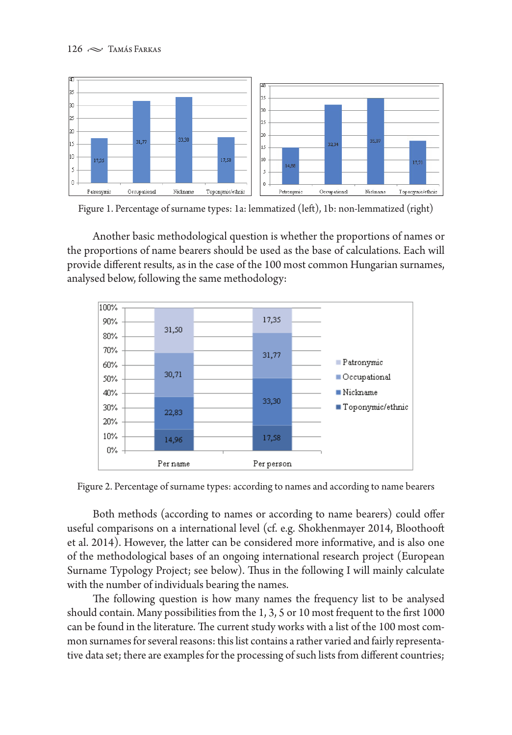

Figure 1. Percentage of surname types: 1a: lemmatized (left), 1b: non-lemmatized (right)

Another basic methodological question is whether the proportions of names or the proportions of name bearers should be used as the base of calculations. Each will provide different results, as in the case of the 100 most common Hungarian surnames, analysed below, following the same methodology:



Figure 2. Percentage of surname types: according to names and according to name bearers

Both methods (according to names or according to name bearers) could offer useful comparisons on a international level (cf. e.g. Shokhenmayer 2014, Bloothooft et al. 2014). However, the latter can be considered more informative, and is also one of the methodological bases of an ongoing international research project (European Surname Typology Project; see below). Thus in the following I will mainly calculate with the number of individuals bearing the names.

The following question is how many names the frequency list to be analysed should contain. Many possibilities from the 1, 3, 5 or 10 most frequent to the first 1000 can be found in the literature. The current study works with a list of the 100 most common surnames for several reasons: this list contains a rather varied and fairly representative data set; there are examples for the processing of such lists from different countries;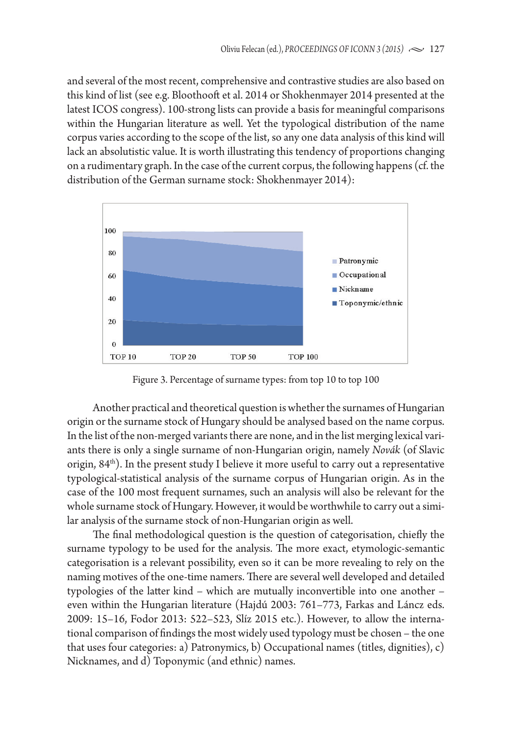and several of the most recent, comprehensive and contrastive studies are also based on this kind of list (see e.g. Bloothooft et al. 2014 or Shokhenmayer 2014 presented at the latest ICOS congress). 100-strong lists can provide a basis for meaningful comparisons within the Hungarian literature as well. Yet the typological distribution of the name corpus varies according to the scope of the list, so any one data analysis of this kind will lack an absolutistic value. It is worth illustrating this tendency of proportions changing on a rudimentary graph. In the case of the current corpus, the following happens (cf. the distribution of the German surname stock: Shokhenmayer 2014):



Figure 3. Percentage of surname types: from top 10 to top 100

Another practical and theoretical question is whether the surnames of Hungarian origin or the surname stock of Hungary should be analysed based on the name corpus. In the list of the non-merged variants there are none, and in the list merging lexical variants there is only a single surname of non-Hungarian origin, namely *Novák* (of Slavic origin,  $84<sup>th</sup>$ ). In the present study I believe it more useful to carry out a representative typological-statistical analysis of the surname corpus of Hungarian origin. As in the case of the 100 most frequent surnames, such an analysis will also be relevant for the whole surname stock of Hungary. However, it would be worthwhile to carry out a similar analysis of the surname stock of non-Hungarian origin as well.

The final methodological question is the question of categorisation, chiefly the surname typology to be used for the analysis. The more exact, etymologic-semantic categorisation is a relevant possibility, even so it can be more revealing to rely on the naming motives of the one-time namers. There are several well developed and detailed typologies of the latter kind – which are mutually inconvertible into one another – even within the Hungarian literature (Hajdú 2003: 761–773, Farkas and Láncz eds. 2009: 15–16, Fodor 2013: 522–523, Slíz 2015 etc.). However, to allow the international comparison of findings the most widely used typology must be chosen – the one that uses four categories: a) Patronymics, b) Occupational names (titles, dignities), c) Nicknames, and d) Toponymic (and ethnic) names.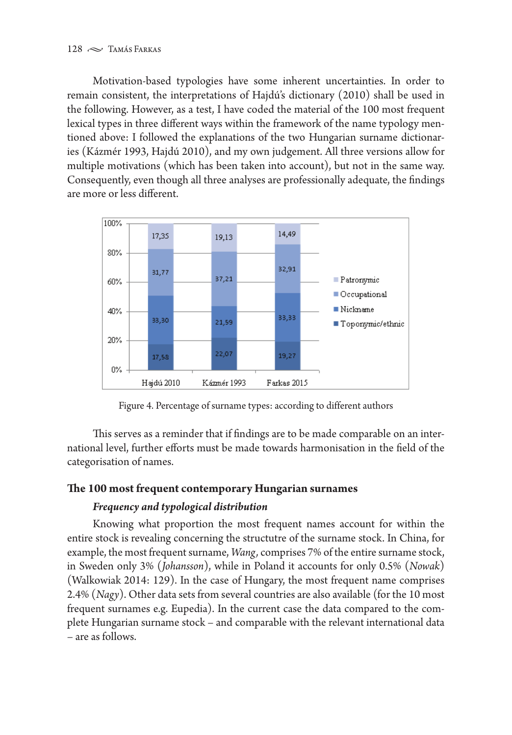Motivation-based typologies have some inherent uncertainties. In order to remain consistent, the interpretations of Hajdú's dictionary (2010) shall be used in the following. However, as a test, I have coded the material of the 100 most frequent lexical types in three different ways within the framework of the name typology mentioned above: I followed the explanations of the two Hungarian surname dictionaries (Kázmér 1993, Hajdú 2010), and my own judgement. All three versions allow for multiple motivations (which has been taken into account), but not in the same way. Consequently, even though all three analyses are professionally adequate, the findings are more or less different.



Figure 4. Percentage of surname types: according to different authors

This serves as a reminder that if findings are to be made comparable on an international level, further efforts must be made towards harmonisation in the field of the categorisation of names.

## **The 100 most frequent contemporary Hungarian surnames**

# *Frequency and typological distribution*

Knowing what proportion the most frequent names account for within the entire stock is revealing concerning the structutre of the surname stock. In China, for example, the most frequent surname, *Wang,* comprises 7% of the entire surname stock, in Sweden only 3% (*Johansson*), while in Poland it accounts for only 0.5% (*Nowak*) (Walkowiak 2014: 129). In the case of Hungary, the most frequent name comprises 2.4% (*Nagy*). Other data sets from several countries are also available (for the 10 most frequent surnames e.g. Eupedia). In the current case the data compared to the complete Hungarian surname stock – and comparable with the relevant international data – are as follows.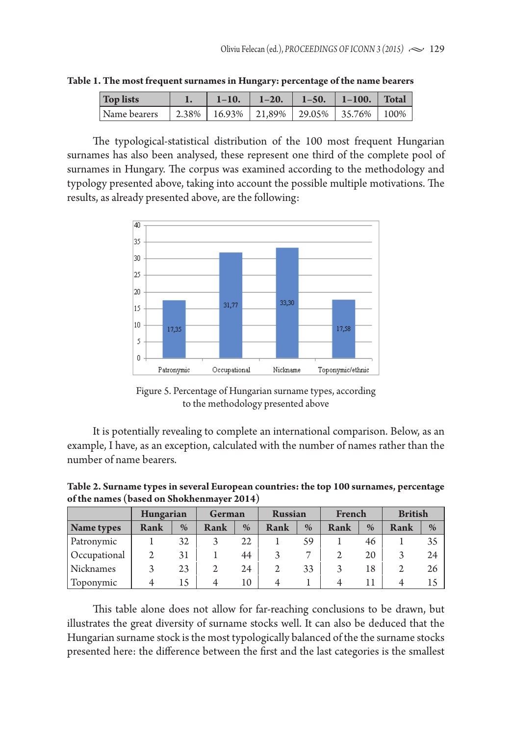| Top lists    | $1 - 10.$ | $1 - 20.$                                        | $1 - 50.$ | $\blacksquare$ 1-100. | Total |
|--------------|-----------|--------------------------------------------------|-----------|-----------------------|-------|
| Name bearers |           | 2.38%   16.93%   21.89%   29.05%   35.76%   100% |           |                       |       |

**Table 1. The most frequent surnames in Hungary: percentage of the name bearers**

The typological-statistical distribution of the 100 most frequent Hungarian surnames has also been analysed, these represent one third of the complete pool of surnames in Hungary. The corpus was examined according to the methodology and typology presented above, taking into account the possible multiple motivations. The results, as already presented above, are the following:



Figure 5. Percentage of Hungarian surname types, according to the methodology presented above

It is potentially revealing to complete an international comparison. Below, as an example, I have, as an exception, calculated with the number of names rather than the number of name bearers.

**Table 2. Surname types in several European countries: the top 100 surnames, percentage of the names (based on Shokhenmayer 2014)**

|              | Hungarian |      | German      |      | <b>Russian</b> |    | French |               | <b>British</b> |      |
|--------------|-----------|------|-------------|------|----------------|----|--------|---------------|----------------|------|
| Name types   | Rank      | $\%$ | <b>Rank</b> | $\%$ | Rank           | %  | Rank   | $\frac{0}{0}$ | <b>Rank</b>    | $\%$ |
| Patronymic   |           | 32   |             | 22   |                | 59 |        | 46            |                | 35   |
| Occupational |           | 31   |             | 44   |                |    |        | 20            |                | 24   |
| Nicknames    |           | 23   |             | 24   | 2              | 33 |        | 18            |                | 26   |
| Toponymic    |           | 15   |             | 10   |                |    |        |               |                |      |

This table alone does not allow for far-reaching conclusions to be drawn, but illustrates the great diversity of surname stocks well. It can also be deduced that the Hungarian surname stock is the most typologically balanced of the the surname stocks presented here: the difference between the first and the last categories is the smallest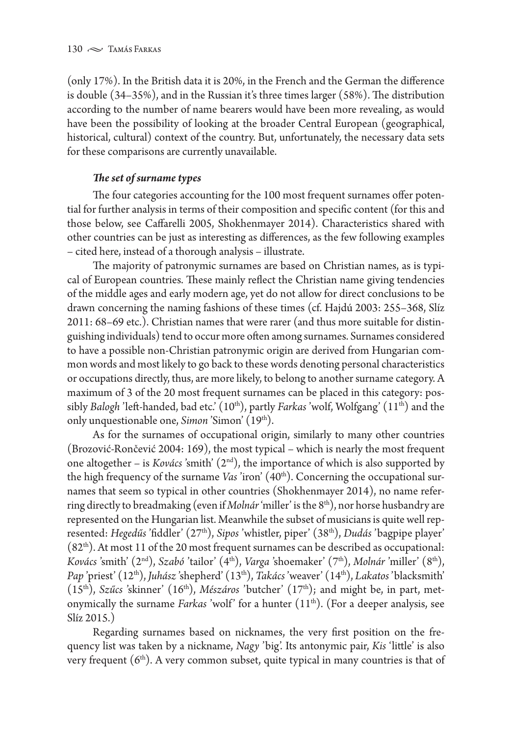(only 17%). In the British data it is 20%, in the French and the German the difference is double (34–35%), and in the Russian it's three times larger (58%). The distribution according to the number of name bearers would have been more revealing, as would have been the possibility of looking at the broader Central European (geographical, historical, cultural) context of the country. But, unfortunately, the necessary data sets for these comparisons are currently unavailable.

## *The set of surname types*

The four categories accounting for the 100 most frequent surnames offer potential for further analysis in terms of their composition and specific content (for this and those below, see Caffarelli 2005, Shokhenmayer 2014). Characteristics shared with other countries can be just as interesting as differences, as the few following examples – cited here, instead of a thorough analysis – illustrate.

The majority of patronymic surnames are based on Christian names, as is typical of European countries. These mainly reflect the Christian name giving tendencies of the middle ages and early modern age, yet do not allow for direct conclusions to be drawn concerning the naming fashions of these times (cf. Hajdú 2003: 255–368, Slíz 2011: 68–69 etc.). Christian names that were rarer (and thus more suitable for distinguishing individuals) tend to occur more often among surnames. Surnames considered to have a possible non-Christian patronymic origin are derived from Hungarian common words and most likely to go back to these words denoting personal characteristics or occupations directly, thus, are more likely, to belong to another surname category. A maximum of 3 of the 20 most frequent surnames can be placed in this category: possibly *Balogh* 'left-handed, bad etc.' (10<sup>th</sup>), partly *Farkas* 'wolf, Wolfgang' (11<sup>th</sup>) and the only unquestionable one, *Simon* 'Simon' (19<sup>th</sup>).

As for the surnames of occupational origin, similarly to many other countries (Brozović-Rončević 2004: 169), the most typical – which is nearly the most frequent one altogether – is *Kovács* 'smith' (2nd), the importance of which is also supported by the high frequency of the surname *Vas* 'iron' (40<sup>th</sup>). Concerning the occupational surnames that seem so typical in other countries (Shokhenmayer 2014), no name referring directly to breadmaking (even if *Molnár* 'miller' is the 8<sup>th</sup>), nor horse husbandry are represented on the Hungarian list. Meanwhile the subset of musicians is quite well represented: *Hegedűs* 'fiddler' (27<sup>th</sup>), *Sipos* 'whistler, piper' (38<sup>th</sup>), *Dudás* 'bagpipe player'  $(82<sup>th</sup>)$ . At most 11 of the 20 most frequent surnames can be described as occupational: *Kovács* 'smith' (2nd), *Szabó* 'tailor' (4th), *Varga* 'shoemaker' (7th), *Molnár* 'miller' (8th), *Pap* 'priest' (12th), *Juhász* 'shepherd' (13th), *Takács* 'weaver' (14th), *Lakatos* 'blacksmith' (15th), *Szűcs* 'skinner' (16th), *Mészáros* 'butcher' (17th); and might be, in part, metonymically the surname *Farkas* 'wolf' for a hunter (11<sup>th</sup>). (For a deeper analysis, see Slíz 2015.)

Regarding surnames based on nicknames, the very first position on the frequency list was taken by a nickname, *Nagy* 'big'. Its antonymic pair, *Kis* 'little' is also very frequent  $(6<sup>th</sup>)$ . A very common subset, quite typical in many countries is that of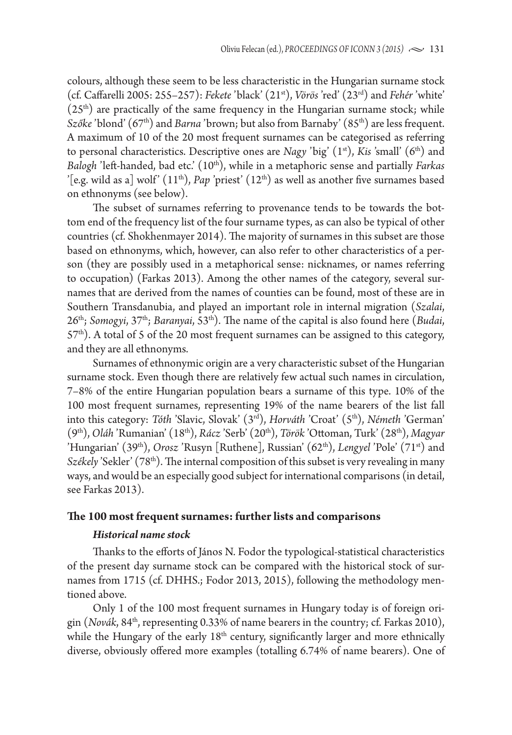colours, although these seem to be less characteristic in the Hungarian surname stock (cf. Caffarelli 2005: 255–257): *Fekete* 'black' (21st), *Vörös* 'red' (23rd) and *Fehér* 'white'  $(25<sup>th</sup>)$  are practically of the same frequency in the Hungarian surname stock; while *Szőke* 'blond' (67<sup>th</sup>) and *Barna* 'brown; but also from Barnaby' (85<sup>th</sup>) are less frequent. A maximum of 10 of the 20 most frequent surnames can be categorised as referring to personal characteristics. Descriptive ones are *Nagy* 'big' (1<sup>st</sup>), *Kis* 'small' (6<sup>th</sup>) and *Balogh* 'left-handed, bad etc.' (10<sup>th</sup>), while in a metaphoric sense and partially *Farkas* '[e.g. wild as a] wolf'  $(11<sup>th</sup>)$ , *Pap* 'priest'  $(12<sup>th</sup>)$  as well as another five surnames based on ethnonyms (see below).

The subset of surnames referring to provenance tends to be towards the bottom end of the frequency list of the four surname types, as can also be typical of other countries (cf. Shokhenmayer 2014). The majority of surnames in this subset are those based on ethnonyms, which, however, can also refer to other characteristics of a person (they are possibly used in a metaphorical sense: nicknames, or names referring to occupation) (Farkas 2013). Among the other names of the category, several surnames that are derived from the names of counties can be found, most of these are in Southern Transdanubia, and played an important role in internal migration (*Szalai*, 26th; *Somogyi*, 37th; *Baranyai*, 53th). The name of the capital is also found here (*Budai*, 57<sup>th</sup>). A total of 5 of the 20 most frequent surnames can be assigned to this category, and they are all ethnonyms.

Surnames of ethnonymic origin are a very characteristic subset of the Hungarian surname stock. Even though there are relatively few actual such names in circulation, 7–8% of the entire Hungarian population bears a surname of this type. 10% of the 100 most frequent surnames, representing 19% of the name bearers of the list fall into this category: *Tóth* 'Slavic, Slovak' (3rd), *Horváth* 'Croat' (5th), *Németh* 'German' (9th), *Oláh* 'Rumanian' (18th), *Rácz* 'Serb' (20th), *Török* 'Ottoman, Turk' (28th), *Magyar* 'Hungarian' (39<sup>th</sup>), *Orosz* 'Rusyn [Ruthene], Russian' (62<sup>th</sup>), *Lengyel* 'Pole' (71<sup>st</sup>) and *Székely* 'Sekler' (78<sup>th</sup>). The internal composition of this subset is very revealing in many ways, and would be an especially good subject for international comparisons (in detail, see Farkas 2013).

#### **The 100 most frequent surnames: further lists and comparisons**

#### *Historical name stock*

Thanks to the efforts of János N. Fodor the typological-statistical characteristics of the present day surname stock can be compared with the historical stock of surnames from 1715 (cf. DHHS.; Fodor 2013, 2015), following the methodology mentioned above.

Only 1 of the 100 most frequent surnames in Hungary today is of foreign origin (*Novák*, 84th, representing 0.33% of name bearers in the country; cf. Farkas 2010), while the Hungary of the early 18<sup>th</sup> century, significantly larger and more ethnically diverse, obviously offered more examples (totalling 6.74% of name bearers). One of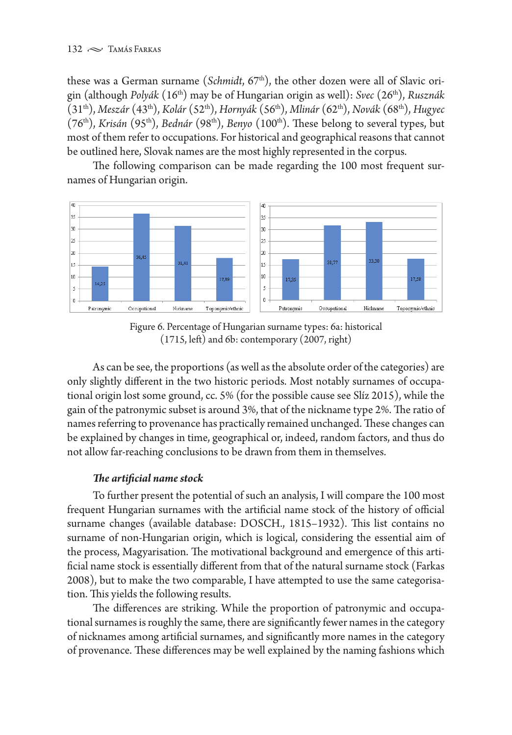these was a German surname (*Schmidt*, 67<sup>th</sup>), the other dozen were all of Slavic origin (although *Polyák* (16th) may be of Hungarian origin as well): *Svec* (26th), *Rusznák* (31th), *Meszár* (43th), *Kolár* (52th), *Hornyák* (56th), *Mlinár* (62th), *Novák* (68th), *Hugyec* (76th), *Krisán* (95th), *Bednár* (98th), *Benyo* (100th). These belong to several types, but most of them refer to occupations. For historical and geographical reasons that cannot be outlined here, Slovak names are the most highly represented in the corpus.

The following comparison can be made regarding the 100 most frequent surnames of Hungarian origin.



Figure 6. Percentage of Hungarian surname types: 6a: historical (1715, left) and 6b: contemporary (2007, right)

As can be see, the proportions (as well as the absolute order of the categories) are only slightly different in the two historic periods. Most notably surnames of occupational origin lost some ground, cc. 5% (for the possible cause see Slíz 2015), while the gain of the patronymic subset is around 3%, that of the nickname type 2%. The ratio of names referring to provenance has practically remained unchanged. These changes can be explained by changes in time, geographical or, indeed, random factors, and thus do not allow far-reaching conclusions to be drawn from them in themselves.

# *The artificial name stock*

To further present the potential of such an analysis, I will compare the 100 most frequent Hungarian surnames with the artificial name stock of the history of official surname changes (available database: DOSCH., 1815–1932). This list contains no surname of non-Hungarian origin, which is logical, considering the essential aim of the process, Magyarisation. The motivational background and emergence of this artificial name stock is essentially different from that of the natural surname stock (Farkas 2008), but to make the two comparable, I have attempted to use the same categorisation. This yields the following results.

The differences are striking. While the proportion of patronymic and occupational surnames is roughly the same, there are significantly fewer names in the category of nicknames among artificial surnames, and significantly more names in the category of provenance. These differences may be well explained by the naming fashions which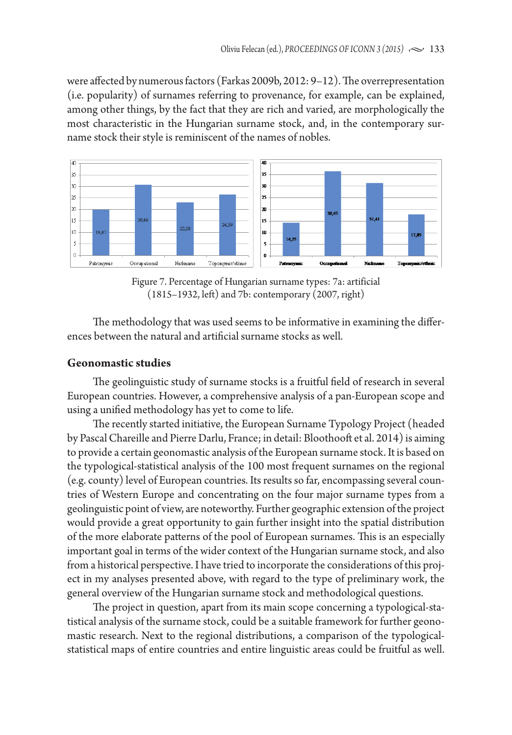were affected by numerous factors (Farkas 2009b, 2012: 9–12). The overrepresentation (i.e. popularity) of surnames referring to provenance, for example, can be explained, among other things, by the fact that they are rich and varied, are morphologically the most characteristic in the Hungarian surname stock, and, in the contemporary surname stock their style is reminiscent of the names of nobles.



Figure 7. Percentage of Hungarian surname types: 7a: artificial (1815–1932, left) and 7b: contemporary (2007, right)

The methodology that was used seems to be informative in examining the differences between the natural and artificial surname stocks as well.

#### **Geonomastic studies**

The geolinguistic study of surname stocks is a fruitful field of research in several European countries. However, a comprehensive analysis of a pan-European scope and using a unified methodology has yet to come to life.

The recently started initiative, the European Surname Typology Project (headed by Pascal Chareille and Pierre Darlu, France; in detail: Bloothooft et al. 2014) is aiming to provide a certain geonomastic analysis of the European surname stock. It is based on the typological-statistical analysis of the 100 most frequent surnames on the regional (e.g. county) level of European countries. Its results so far, encompassing several countries of Western Europe and concentrating on the four major surname types from a geolinguistic point of view, are noteworthy. Further geographic extension of the project would provide a great opportunity to gain further insight into the spatial distribution of the more elaborate patterns of the pool of European surnames. This is an especially important goal in terms of the wider context of the Hungarian surname stock, and also from a historical perspective. I have tried to incorporate the considerations of this project in my analyses presented above, with regard to the type of preliminary work, the general overview of the Hungarian surname stock and methodological questions.

The project in question, apart from its main scope concerning a typological-statistical analysis of the surname stock, could be a suitable framework for further geonomastic research. Next to the regional distributions, a comparison of the typologicalstatistical maps of entire countries and entire linguistic areas could be fruitful as well.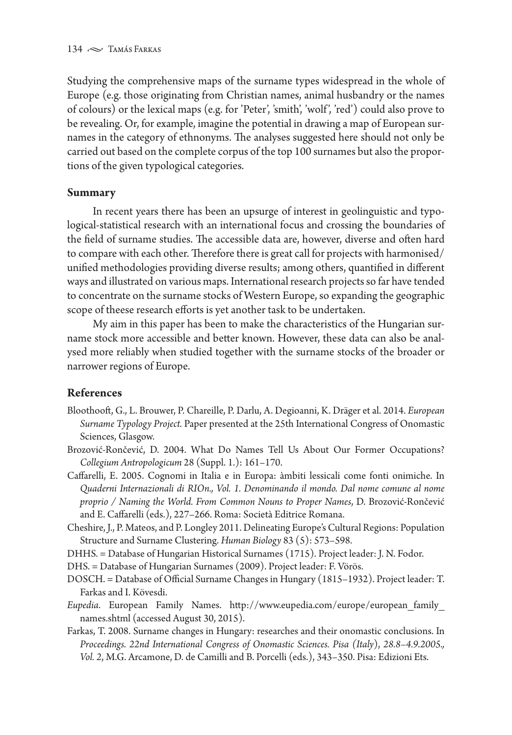Studying the comprehensive maps of the surname types widespread in the whole of Europe (e.g. those originating from Christian names, animal husbandry or the names of colours) or the lexical maps (e.g. for 'Peter', 'smith', 'wolf ', 'red') could also prove to be revealing. Or, for example, imagine the potential in drawing a map of European surnames in the category of ethnonyms. The analyses suggested here should not only be carried out based on the complete corpus of the top 100 surnames but also the proportions of the given typological categories.

## **Summary**

In recent years there has been an upsurge of interest in geolinguistic and typological-statistical research with an international focus and crossing the boundaries of the field of surname studies. The accessible data are, however, diverse and often hard to compare with each other. Therefore there is great call for projects with harmonised/ unified methodologies providing diverse results; among others, quantified in different ways and illustrated on various maps. International research projects so far have tended to concentrate on the surname stocks of Western Europe, so expanding the geographic scope of theese research efforts is yet another task to be undertaken.

My aim in this paper has been to make the characteristics of the Hungarian surname stock more accessible and better known. However, these data can also be analysed more reliably when studied together with the surname stocks of the broader or narrower regions of Europe.

# **References**

- Bloothooft, G., L. Brouwer, P. Chareille, P. Darlu, A. Degioanni, K. Dräger et al. 2014. *European Surname Typology Project.* Paper presented at the 25th International Congress of Onomastic Sciences, Glasgow.
- Brozović-Rončević, D. 2004. What Do Names Tell Us About Our Former Occupations? *Collegium Antropologicum* 28 (Suppl. 1.): 161–170.
- Caffarelli, E. 2005. Cognomi in Italia e in Europa: àmbiti lessicali come fonti onimiche. In *Quaderni Internazionali di RIOn., Vol. 1. Denominando il mondo. Dal nome comune al nome proprio / Naming the World. From Common Nouns to Proper Names*, D. Brozović-Rončević and E. Caffarelli (eds.), 227–266. Roma: Società Editrice Romana.
- Cheshire, J., P. Mateos, and P. Longley 2011. Delineating Europe's Cultural Regions: Population Structure and Surname Clustering. *Human Biology* 83 (5): 573–598.

DHHS. = Database of Hungarian Historical Surnames (1715). Project leader: J. N. Fodor.

DHS. = Database of Hungarian Surnames (2009). Project leader: F. Vörös.

- DOSCH. = Database of Official Surname Changes in Hungary (1815–1932). Project leader: T. Farkas and I. Kövesdi.
- *Eupedia*. European Family Names. http://www.eupedia.com/europe/european\_family\_ names.shtml (accessed August 30, 2015).
- Farkas, T. 2008. Surname changes in Hungary: researches and their onomastic conclusions. In *Proceedings. 22nd International Congress of Onomastic Sciences. Pisa (Italy*), *28.8–4.9.2005., Vol. 2*, M.G. Arcamone, D. de Camilli and B. Porcelli (eds.), 343–350. Pisa: Edizioni Ets.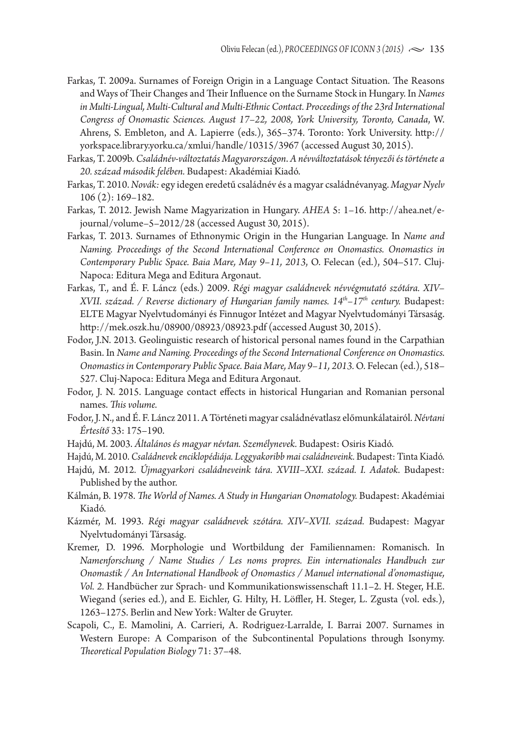- Farkas, T. 2009a. Surnames of Foreign Origin in a Language Contact Situation. The Reasons and Ways of Their Changes and Their Influence on the Surname Stock in Hungary. In *Names in Multi-Lingual, Multi-Cultural and Multi-Ethnic Contact. Proceedings of the 23rd International Congress of Onomastic Sciences. August 17–22, 2008, York University, Toronto, Canada*, W. Ahrens, S. Embleton, and A. Lapierre (eds.), 365–374. Toronto: York University. http:// yorkspace.library.yorku.ca/xmlui/handle/10315/3967 (accessed August 30, 2015).
- Farkas, T. 2009b. *Családnév-változtatás Magyarországon*. *A névváltoztatások tényezői és története a 20. század második felében.* Budapest: Akadémiai Kiadó.
- Farkas, T. 2010. *Novák:* egy idegen eredetű családnév és a magyar családnévanyag. *Magyar Nyelv*  106 (2): 169–182.
- Farkas, T. 2012. Jewish Name Magyarization in Hungary. *AHEA* 5: 1–16. http://ahea.net/ejournal/volume–5–2012/28 (accessed August 30, 2015).
- Farkas, T. 2013. Surnames of Ethnonymic Origin in the Hungarian Language. In *Name and Naming. Proceedings of the Second International Conference on Onomastics. Onomastics in Contemporary Public Space. Baia Mare, May 9–11, 2013*, O. Felecan (ed.), 504–517. Cluj-Napoca: Editura Mega and Editura Argonaut.
- Farkas, T., and É. F. Láncz (eds.) 2009. *Régi magyar családnevek névvégmutató szótára. XIV– XVII. század. / Reverse dictionary of Hungarian family names. 14th–17th century.* Budapest: ELTE Magyar Nyelvtudományi és Finnugor Intézet and Magyar Nyelvtudományi Társaság. http://mek.oszk.hu/08900/08923/08923.pdf (accessed August 30, 2015).
- Fodor, J.N. 2013. Geolinguistic research of historical personal names found in the Carpathian Basin. In *Name and Naming. Proceedings of the Second International Conference on Onomastics. Onomastics in Contemporary Public Space. Baia Mare, May 9–11, 2013.* O. Felecan (ed.), 518– 527. Cluj-Napoca: Editura Mega and Editura Argonaut.
- Fodor, J. N. 2015. Language contact effects in historical Hungarian and Romanian personal names. *This volume.*
- Fodor, J. N., and É. F. Láncz 2011. A Történeti magyar családnévatlasz előmunkálatairól. *Névtani Értesítő* 33: 175–190.
- Hajdú, M. 2003. *Általános és magyar névtan. Személynevek.* Budapest: Osiris Kiadó.
- Hajdú, M. 2010. *Családnevek enciklopédiája. Leggyakoribb mai családneveink.* Budapest: Tinta Kiadó.
- Hajdú, M. 2012*. Újmagyarkori családneveink tára. XVIII–XXI. század. I. Adatok.* Budapest: Published by the author.
- Kálmán, B. 1978. *The World of Names. A Study in Hungarian Onomatology.* Budapest: Akadémiai Kiadó.
- Kázmér, M. 1993. *Régi magyar családnevek szótára. XIV–XVII. század.* Budapest: Magyar Nyelvtudományi Társaság.
- Kremer, D. 1996. Morphologie und Wortbildung der Familiennamen: Romanisch. In *Namenforschung / Name Studies / Les noms propres. Ein internationales Handbuch zur Onomastik / An International Handbook of Onomastics / Manuel international d'onomastique, Vol. 2.* Handbücher zur Sprach- und Kommunikationswissenschaft 11.1–2. H. Steger, H.E. Wiegand (series ed.), and E. Eichler, G. Hilty, H. Löffler, H. Steger, L. Zgusta (vol. eds.), 1263–1275. Berlin and New York: Walter de Gruyter.
- Scapoli, C., E. Mamolini, A. Carrieri, A. Rodriguez-Larralde, I. Barrai 2007. Surnames in Western Europe: A Comparison of the Subcontinental Populations through Isonymy. *Theoretical Population Biology* 71: 37–48.